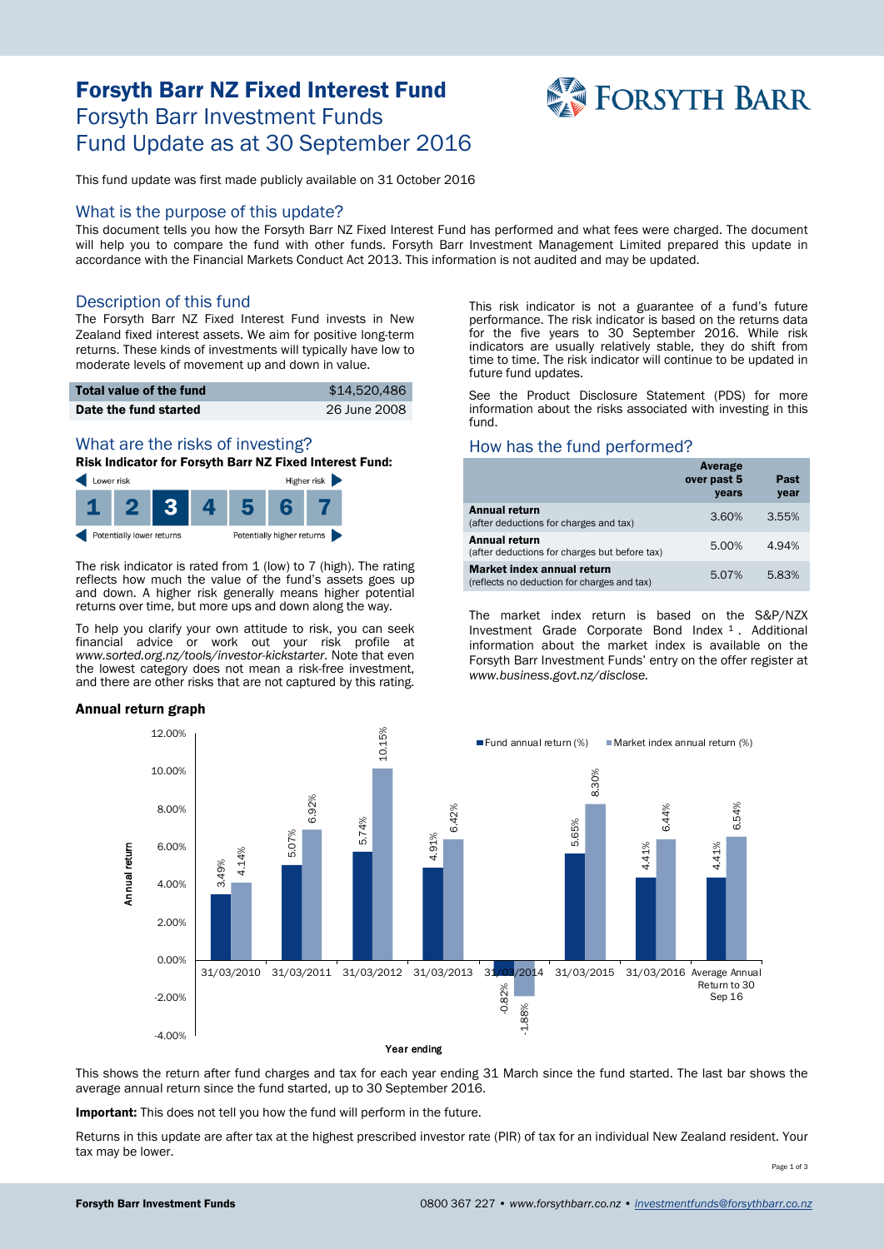# Forsyth Barr NZ Fixed Interest Fund Forsyth Barr Investment Funds Fund Update as at 30 September 2016



This fund update was first made publicly available on 31 October 2016

#### What is the purpose of this update?

This document tells you how the Forsyth Barr NZ Fixed Interest Fund has performed and what fees were charged. The document will help you to compare the fund with other funds. Forsyth Barr Investment Management Limited prepared this update in accordance with the Financial Markets Conduct Act 2013. This information is not audited and may be updated.

#### Description of this fund

The Forsyth Barr NZ Fixed Interest Fund invests in New Zealand fixed interest assets. We aim for positive long-term returns. These kinds of investments will typically have low to moderate levels of movement up and down in value.

| Total value of the fund | \$14,520,486 |
|-------------------------|--------------|
| Date the fund started   | 26 June 2008 |

# What are the risks of investing?

Risk Indicator for Forsyth Barr NZ Fixed Interest Fund:



The risk indicator is rated from 1 (low) to 7 (high). The rating reflects how much the value of the fund's assets goes up and down. A higher risk generally means higher potential returns over time, but more ups and down along the way.

To help you clarify your own attitude to risk, you can seek financial advice or work out your risk profile at *www.sorted.org.nz/tools/investor-kickstarter*. Note that even the lowest category does not mean a risk-free investment, and there are other risks that are not captured by this rating.

#### Annual return graph

This risk indicator is not a guarantee of a fund's future performance. The risk indicator is based on the returns data for the five years to 30 September 2016. While risk indicators are usually relatively stable, they do shift from time to time. The risk indicator will continue to be updated in future fund updates.

See the Product Disclosure Statement (PDS) for more information about the risks associated with investing in this fund.

#### How has the fund performed?

|                                                                           | Average<br>over past 5<br>years | Past<br>year |
|---------------------------------------------------------------------------|---------------------------------|--------------|
| <b>Annual return</b><br>(after deductions for charges and tax)            | 3.60%                           | 3.55%        |
| Annual return<br>(after deductions for charges but before tax)            | 5.00%                           | 4.94%        |
| Market index annual return<br>(reflects no deduction for charges and tax) | 5.07%                           | 5.83%        |

The market index return is based on the S&P/NZX Investment Grade Corporate Bond Index [1](#page-1-0) . Additional information about the market index is available on the Forsyth Barr Investment Funds' entry on the offer register at *www.business.govt.nz/disclose.*



This shows the return after fund charges and tax for each year ending 31 March since the fund started. The last bar shows the average annual return since the fund started, up to 30 September 2016.

Important: This does not tell you how the fund will perform in the future.

Returns in this update are after tax at the highest prescribed investor rate (PIR) of tax for an individual New Zealand resident. Your tax may be lower.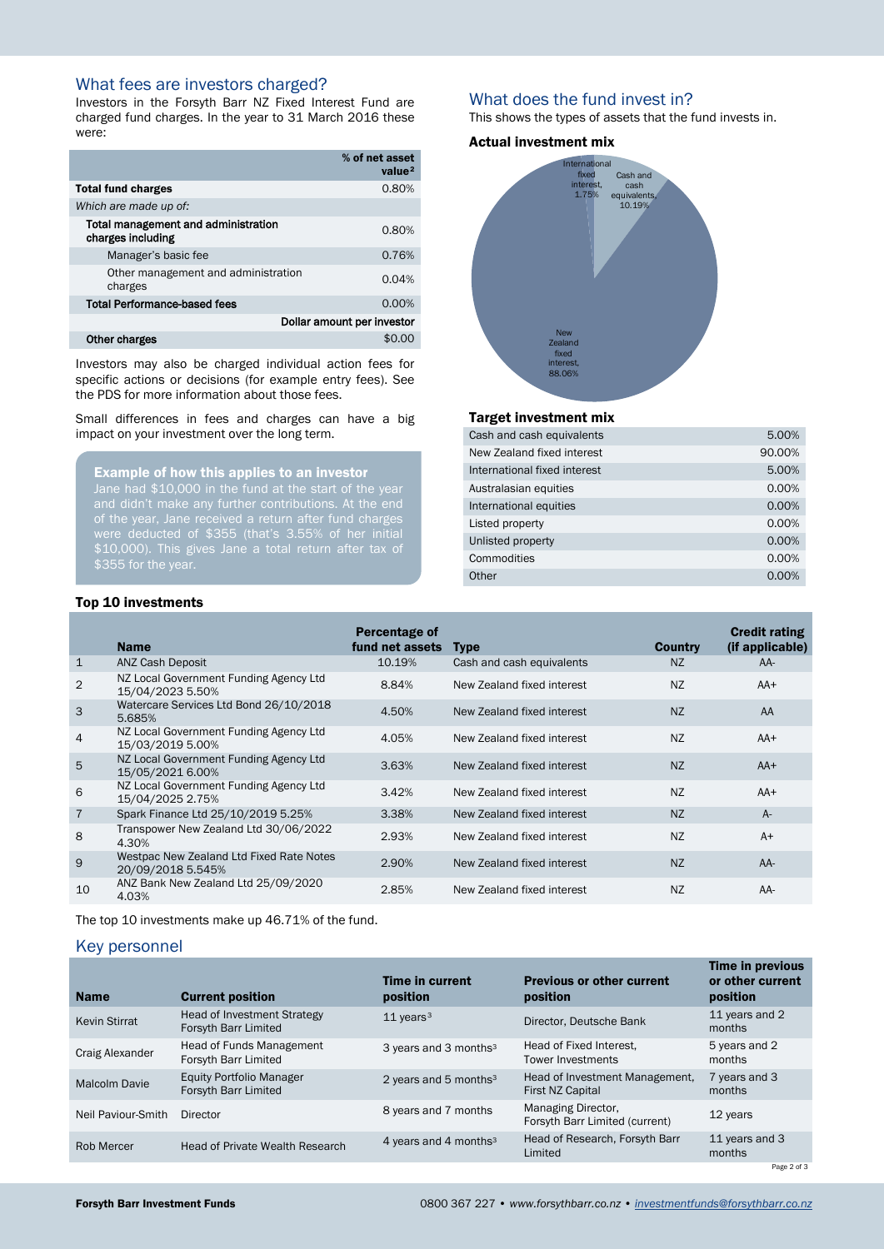## What fees are investors charged?

Investors in the Forsyth Barr NZ Fixed Interest Fund are charged fund charges. In the year to 31 March 2016 these were:

<span id="page-1-0"></span>

|                                                          | % of net asset<br>value <sup>2</sup> |
|----------------------------------------------------------|--------------------------------------|
| <b>Total fund charges</b>                                | 0.80%                                |
| Which are made up of:                                    |                                      |
| Total management and administration<br>charges including | 0.80%                                |
| Manager's basic fee                                      | 0.76%                                |
| Other management and administration<br>charges           | 0.04%                                |
| <b>Total Performance-based fees</b>                      | 0.00%                                |
| Dollar amount per investor                               |                                      |
| Other charges                                            | \$0.00                               |
|                                                          |                                      |

Investors may also be charged individual action fees for specific actions or decisions (for example entry fees). See the PDS for more information about those fees.

Small differences in fees and charges can have a big impact on your investment over the long term.

Example of how this applies to an investor Jane had \$10,000 in the fund at the start of the year of the year, Jane received a return after fund charges were deducted of \$355 (that's 3.55% of her initial \$10,000). This gives Jane a total return after tax of \$355 for the year.

#### What does the fund invest in?

This shows the types of assets that the fund invests in.

#### Actual investment mix



#### Target investment mix

| Cash and cash equivalents    | 5.00%    |
|------------------------------|----------|
| New Zealand fixed interest   | 90.00%   |
| International fixed interest | 5.00%    |
| Australasian equities        | 0.00%    |
| International equities       | 0.00%    |
| Listed property              | 0.00%    |
| Unlisted property            | 0.00%    |
| Commodities                  | 0.00%    |
| Other                        | $0.00\%$ |

|                | <b>Name</b>                                                   | Percentage of<br>fund net assets | <b>Type</b>                | <b>Country</b> | <b>Credit rating</b><br>(if applicable) |
|----------------|---------------------------------------------------------------|----------------------------------|----------------------------|----------------|-----------------------------------------|
| $\mathbf{1}$   | <b>ANZ Cash Deposit</b>                                       | 10.19%                           | Cash and cash equivalents  | <b>NZ</b>      | AA-                                     |
| $\overline{2}$ | NZ Local Government Funding Agency Ltd<br>15/04/2023 5.50%    | 8.84%                            | New Zealand fixed interest | <b>NZ</b>      | $AA+$                                   |
| 3              | Watercare Services Ltd Bond 26/10/2018<br>5.685%              | 4.50%                            | New Zealand fixed interest | <b>NZ</b>      | AA                                      |
| 4              | NZ Local Government Funding Agency Ltd<br>15/03/2019 5.00%    | 4.05%                            | New Zealand fixed interest | <b>NZ</b>      | $AA+$                                   |
| 5              | NZ Local Government Funding Agency Ltd<br>15/05/2021 6.00%    | 3.63%                            | New Zealand fixed interest | <b>NZ</b>      | $AA+$                                   |
| 6              | NZ Local Government Funding Agency Ltd<br>15/04/2025 2.75%    | 3.42%                            | New Zealand fixed interest | <b>NZ</b>      | $AA+$                                   |
| $\overline{7}$ | Spark Finance Ltd 25/10/2019 5.25%                            | 3.38%                            | New Zealand fixed interest | <b>NZ</b>      | $A-$                                    |
| 8              | Transpower New Zealand Ltd 30/06/2022<br>4.30%                | 2.93%                            | New Zealand fixed interest | <b>NZ</b>      | $A+$                                    |
| 9              | Westpac New Zealand Ltd Fixed Rate Notes<br>20/09/2018 5.545% | 2.90%                            | New Zealand fixed interest | <b>NZ</b>      | $AA-$                                   |
| 10             | ANZ Bank New Zealand Ltd 25/09/2020<br>4.03%                  | 2.85%                            | New Zealand fixed interest | <b>NZ</b>      | AA-                                     |

The top 10 investments make up 46.71% of the fund.

#### <span id="page-1-1"></span>Key personnel

| <b>Name</b>          | <b>Current position</b>                                 | Time in current<br>position       | <b>Previous or other current</b><br>position         | <b>Time in previous</b><br>or other current<br>position |
|----------------------|---------------------------------------------------------|-----------------------------------|------------------------------------------------------|---------------------------------------------------------|
| <b>Kevin Stirrat</b> | Head of Investment Strategy<br>Forsyth Barr Limited     | $11$ years <sup>3</sup>           | Director, Deutsche Bank                              | 11 years and 2<br>months                                |
| Craig Alexander      | <b>Head of Funds Management</b><br>Forsyth Barr Limited | 3 years and 3 months <sup>3</sup> | Head of Fixed Interest.<br><b>Tower Investments</b>  | 5 years and 2<br>months                                 |
| Malcolm Davie        | <b>Equity Portfolio Manager</b><br>Forsyth Barr Limited | 2 years and 5 months <sup>3</sup> | Head of Investment Management,<br>First NZ Capital   | 7 years and 3<br>months                                 |
| Neil Paviour-Smith   | Director                                                | 8 years and 7 months              | Managing Director,<br>Forsyth Barr Limited (current) | 12 years                                                |
| <b>Rob Mercer</b>    | <b>Head of Private Wealth Research</b>                  | 4 years and 4 months $3$          | Head of Research, Forsyth Barr<br>Limited            | 11 years and 3<br>months                                |
|                      |                                                         |                                   |                                                      | Page 2 of 3                                             |

# Top 10 investments